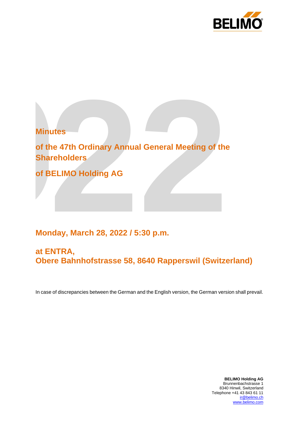



# **Monday, March 28, 2022 / 5:30 p.m.**

## **at ENTRA, Obere Bahnhofstrasse 58, 8640 Rapperswil (Switzerland)**

In case of discrepancies between the German and the English version, the German version shall prevail.

**BELIMO Holding AG** Brunnenbachstrasse 1 8340 Hinwil, Switzerland Telephone +41 43 843 61 11 [ir@belimo.ch](mailto:ir@belimo.ch)<br>www.belimo.com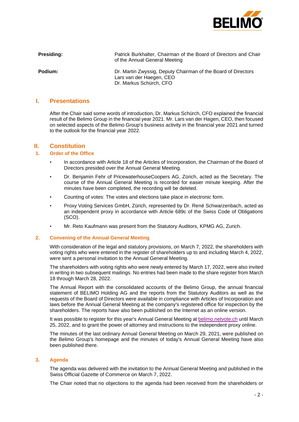

**Presiding:** Presiding: Patrick Burkhalter, Chairman of the Board of Directors and Chair of the Annual General Meeting

**Podium:** Dr. Martin Zwyssig, Deputy Chairman of the Board of Directors Lars van der Haegen, CEO Dr. Markus Schürch, CFO

## **I. Presentations**

After the Chair said some words of introduction, Dr. Markus Schürch, CFO explained the financial result of the Belimo Group in the financial year 2021. Mr. Lars van der Hagen, CEO, then focused on selected aspects of the Belimo Group's business activity in the financial year 2021 and turned to the outlook for the financial year 2022.

## **II. Constitution**

## **1. Order of the Office**

- In accordance with Article 18 of the Articles of Incorporation, the Chairman of the Board of Directors presided over the Annual General Meeting.
- Dr. Benjamin Fehr of PricewaterhouseCoopers AG, Zürich, acted as the Secretary. The course of the Annual General Meeting is recorded for easier minute keeping. After the minutes have been completed, the recording will be deleted.
- Counting of votes: The votes and elections take place in electronic form.
- Proxy Voting Services GmbH, Zürich, represented by Dr. René Schwarzenbach, acted as an independent proxy in accordance with Article 689c of the Swiss Code of Obligations (SCO).
- Mr. Reto Kaufmann was present from the Statutory Auditors, KPMG AG, Zurich.

#### **2. Convening of the Annual General Meeting**

With consideration of the legal and statutory provisions, on March 7, 2022, the shareholders with voting rights who were entered in the register of shareholders up to and including March 4, 2022, were sent a personal invitation to the Annual General Meeting.

The shareholders with voting rights who were newly entered by March 17, 2022, were also invited in writing in two subsequent mailings. No entries had been made to the share register from March 18 through March 28, 2022.

The Annual Report with the consolidated accounts of the Belimo Group, the annual financial statement of BELIMO Holding AG and the reports from the Statutory Auditors as well as the requests of the Board of Directors were available in compliance with Articles of Incorporation and laws before the Annual General Meeting at the company's registered office for inspection by the shareholders. The reports have also been published on the Internet as an online version.

It was possible to register for this year's Annual General Meeting at [belimo.netvote.ch](http://www.belimo.netvote.ch/) until March 25, 2022, and to grant the power of attorney and instructions to the independent proxy online.

The minutes of the last ordinary Annual General Meeting on March 29, 2021, were published on the Belimo Group's homepage and the minutes of today's Annual General Meeting have also been published there.

#### **3. Agenda**

The agenda was delivered with the invitation to the Annual General Meeting and published in the Swiss Official Gazette of Commerce on March 7, 2022.

The Chair noted that no objections to the agenda had been received from the shareholders or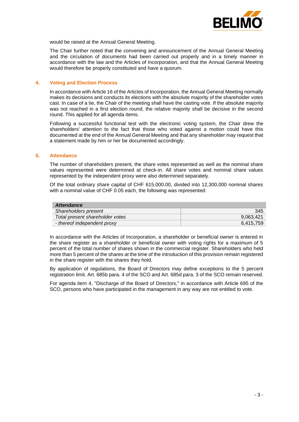

would be raised at the Annual General Meeting.

The Chair further noted that the convening and announcement of the Annual General Meeting and the circulation of documents had been carried out properly and in a timely manner in accordance with the law and the Articles of Incorporation, and that the Annual General Meeting would therefore be properly constituted and have a quorum.

#### **4. Voting and Election Process**

In accordance with Article 16 of the Articles of Incorporation, the Annual General Meeting normally makes its decisions and conducts its elections with the absolute majority of the shareholder votes cast. In case of a tie, the Chair of the meeting shall have the casting vote. If the absolute majority was not reached in a first election round, the relative majority shall be decisive in the second round. This applied for all agenda items.

Following a successful functional test with the electronic voting system, the Chair drew the shareholders' attention to the fact that those who voted against a motion could have this documented at the end of the Annual General Meeting and that any shareholder may request that a statement made by him or her be documented accordingly.

#### **5. Attendance**

The number of shareholders present, the share votes represented as well as the nominal share values represented were determined at check-in. All share votes and nominal share values represented by the independent proxy were also determined separately.

Of the total ordinary share capital of CHF 615,000.00, divided into 12,300,000 nominal shares with a nominal value of CHF 0.05 each, the following was represented:

| <b>Attendance</b>               |           |
|---------------------------------|-----------|
| Shareholders present            | 345       |
| Total present shareholder votes | 9.063.421 |
| - thereof independent proxy     | 6.415.759 |

In accordance with the Articles of Incorporation, a shareholder or beneficial owner is entered in the share register as a shareholder or beneficial owner with voting rights for a maximum of 5 percent of the total number of shares shown in the commercial register. Shareholders who held more than 5 percent of the shares at the time of the introduction of this provision remain registered in the share register with the shares they hold.

By application of regulations, the Board of Directors may define exceptions to the 5 percent registration limit. Art. 685b para. 4 of the SCO and Art. 685d para. 3 of the SCO remain reserved.

For agenda item 4, "Discharge of the Board of Directors," in accordance with Article 695 of the SCO, persons who have participated in the management in any way are not entitled to vote.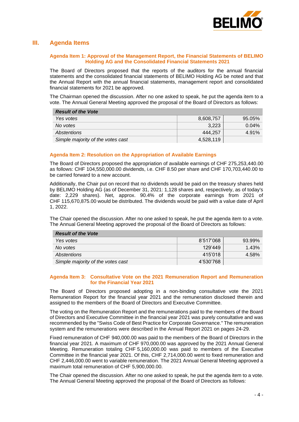

## **III. Agenda Items**

#### **Agenda Item 1: Approval of the Management Report, the Financial Statements of BELIMO Holding AG and the Consolidated Financial Statements 2021**

The Board of Directors proposed that the reports of the auditors for the annual financial statements and the consolidated financial statements of BELIMO Holding AG be noted and that the Annual Report with the annual financial statements, management report and consolidated financial statements for 2021 be approved.

The Chairman opened the discussion. After no one asked to speak, he put the agenda item to a vote. The Annual General Meeting approved the proposal of the Board of Directors as follows:

| <b>Result of the Vote</b>         |           |          |
|-----------------------------------|-----------|----------|
| Yes votes                         | 8,608,757 | 95.05%   |
| No votes                          | 3.223     | $0.04\%$ |
| Abstentions                       | 444.257   | 4.91%    |
| Simple majority of the votes cast | 4,528,119 |          |

#### **Agenda Item 2: Resolution on the Appropriation of Available Earnings**

The Board of Directors proposed the appropriation of available earnings of CHF 275,253,440.00 as follows: CHF 104,550,000.00 dividends, i.e. CHF 8.50 per share and CHF 170,703,440.00 to be carried forward to a new account.

Additionally, the Chair put on record that no dividends would be paid on the treasury shares held by BELIMO Holding AG (as of December 31, 2021: 1,128 shares and, respectively, as of today's date: 2,229 shares). Net, approx. 90.4% of the corporate earnings from 2021 of CHF 115,670,875.00 would be distributed. The dividends would be paid with a value date of April 1, 2022.

The Chair opened the discussion. After no one asked to speak, he put the agenda item to a vote. The Annual General Meeting approved the proposal of the Board of Directors as follows:

| <b>Result of the Vote</b>         |           |        |
|-----------------------------------|-----------|--------|
| Yes votes                         | 8'517'068 | 93.99% |
| No votes                          | 129'449   | 1.43%  |
| Abstentions                       | 415'018   | 4.58%  |
| Simple majority of the votes cast | 4'530'768 |        |

#### **Agenda Item 3: Consultative Vote on the 2021 Remuneration Report and Remuneration for the Financial Year 2021**

The Board of Directors proposed adopting in a non-binding consultative vote the 2021 Remuneration Report for the financial year 2021 and the remuneration disclosed therein and assigned to the members of the Board of Directors and Executive Committee.

The voting on the Remuneration Report and the remunerations paid to the members of the Board of Directors and Executive Committee in the financial year 2021 was purely consultative and was recommended by the "Swiss Code of Best Practice for Corporate Governance." The remuneration system and the remunerations were described in the Annual Report 2021 on pages 24-29.

Fixed remuneration of CHF 940,000.00 was paid to the members of the Board of Directors in the financial year 2021. A maximum of CHF 970,000.00 was approved by the 2021 Annual General Meeting. Remuneration totaling CHF 5,160,000.00 was paid to members of the Executive Committee in the financial year 2021. Of this, CHF 2,714,000.00 went to fixed remuneration and CHF 2,446,000.00 went to variable remuneration. The 2021 Annual General Meeting approved a maximum total remuneration of CHF 5,900,000.00.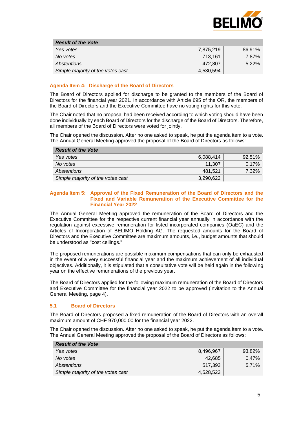

| <b>Result of the Vote</b>         |           |          |
|-----------------------------------|-----------|----------|
| Yes votes                         | 7.875.219 | 86.91%   |
| No votes                          | 713.161   | 7.87%    |
| Abstentions                       | 472.807   | $5.22\%$ |
| Simple majority of the votes cast | 4,530,594 |          |

#### **Agenda Item 4: Discharge of the Board of Directors**

The Board of Directors applied for discharge to be granted to the members of the Board of Directors for the financial year 2021. In accordance with Article 695 of the OR, the members of the Board of Directors and the Executive Committee have no voting rights for this vote.

The Chair noted that no proposal had been received according to which voting should have been done individually by each Board of Directors for the discharge of the Board of Directors. Therefore, all members of the Board of Directors were voted for jointly.

The Chair opened the discussion. After no one asked to speak, he put the agenda item to a vote. The Annual General Meeting approved the proposal of the Board of Directors as follows:

| <b>Result of the Vote</b>         |           |          |
|-----------------------------------|-----------|----------|
| Yes votes                         | 6,088,414 | 92.51%   |
| No votes                          | 11,307    | $0.17\%$ |
| Abstentions                       | 481.521   | 7.32%    |
| Simple majority of the votes cast | 3,290,622 |          |

#### **Agenda Item 5: Approval of the Fixed Remuneration of the Board of Directors and the Fixed and Variable Remuneration of the Executive Committee for the Financial Year 2022**

The Annual General Meeting approved the remuneration of the Board of Directors and the Executive Committee for the respective current financial year annually in accordance with the regulation against excessive remuneration for listed incorporated companies (OaEC) and the Articles of Incorporation of BELIMO Holding AG. The requested amounts for the Board of Directors and the Executive Committee are maximum amounts, i.e., budget amounts that should be understood as "cost ceilings."

The proposed remunerations are possible maximum compensations that can only be exhausted in the event of a very successful financial year and the maximum achievement of all individual objectives. Additionally, it is stipulated that a consultative vote will be held again in the following year on the effective remunerations of the previous year.

The Board of Directors applied for the following maximum remuneration of the Board of Directors and Executive Committee for the financial year 2022 to be approved (invitation to the Annual General Meeting, page 4).

#### **5.1 Board of Directors**

The Board of Directors proposed a fixed remuneration of the Board of Directors with an overall maximum amount of CHF 970,000.00 for the financial year 2022.

| <b>Result of the Vote</b>         |           |          |
|-----------------------------------|-----------|----------|
| Yes votes                         | 8,496,967 | 93.82%   |
| No votes                          | 42.685    | $0.47\%$ |
| Abstentions                       | 517.393   | 5.71%    |
| Simple majority of the votes cast | 4,528,523 |          |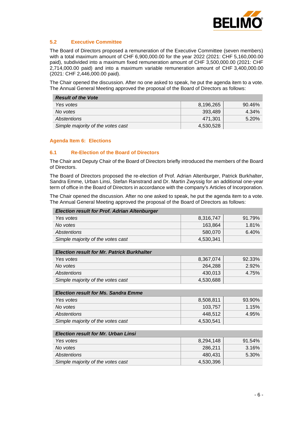

## **5.2 Executive Committee**

The Board of Directors proposed a remuneration of the Executive Committee (seven members) with a total maximum amount of CHF 6,900,000.00 for the year 2022 (2021: CHF 5,160,000.00 paid), subdivided into a maximum fixed remuneration amount of CHF 3,500,000.00 (2021: CHF 2,714,000.00 paid) and into a maximum variable remuneration amount of CHF 3,400,000.00 (2021: CHF 2,446,000.00 paid).

The Chair opened the discussion. After no one asked to speak, he put the agenda item to a vote. The Annual General Meeting approved the proposal of the Board of Directors as follows:

| <b>Result of the Vote</b>         |           |        |
|-----------------------------------|-----------|--------|
| Yes votes                         | 8.196.265 | 90.46% |
| No votes                          | 393.489   | 4.34%  |
| Abstentions                       | 471.301   | 5.20%  |
| Simple majority of the votes cast | 4,530,528 |        |

#### **Agenda Item 6: Elections**

#### **6.1 Re-Election of the Board of Directors**

The Chair and Deputy Chair of the Board of Directors briefly introduced the members of the Board of Directors.

The Board of Directors proposed the re-election of Prof. Adrian Altenburger, Patrick Burkhalter, Sandra Emme, Urban Linsi, Stefan Ranstrand and Dr. Martin Zwyssig for an additional one-year term of office in the Board of Directors in accordance with the company's Articles of Incorporation.

| <b>Election result for Prof. Adrian Altenburger</b> |           |        |
|-----------------------------------------------------|-----------|--------|
| Yes votes                                           | 8,316,747 | 91.79% |
| No votes                                            | 163,864   | 1.81%  |
| Abstentions                                         | 580,070   | 6.40%  |
| Simple majority of the votes cast                   | 4,530,341 |        |
|                                                     |           |        |
| <b>Election result for Mr. Patrick Burkhalter</b>   |           |        |
| Yes votes                                           | 8,367,074 | 92.33% |
| No votes                                            | 264,288   | 2.92%  |
| Abstentions                                         | 430,013   | 4.75%  |
| Simple majority of the votes cast                   | 4,530,688 |        |
|                                                     |           |        |
| <b>Election result for Ms. Sandra Emme</b>          |           |        |
| Yes votes                                           | 8,508,811 | 93.90% |
| No votes                                            | 103,757   | 1.15%  |
| Abstentions                                         | 448,512   | 4.95%  |
| Simple majority of the votes cast                   | 4,530,541 |        |
|                                                     |           |        |
| <b>Election result for Mr. Urban Linsi</b>          |           |        |
| Yes votes                                           | 8,294,148 | 91.54% |

| Yes votes                         | 8.294.148 | $91.54\%$ |
|-----------------------------------|-----------|-----------|
| No votes                          | 286.211   | 3.16%     |
| Abstentions                       | 480.431   | 5.30%     |
| Simple majority of the votes cast | 4,530,396 |           |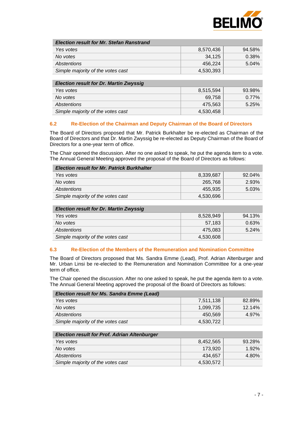

| <b>Election result for Mr. Stefan Ranstrand</b> |           |        |
|-------------------------------------------------|-----------|--------|
| Yes votes                                       | 8,570,436 | 94.58% |
| No votes                                        | 34,125    | 0.38%  |
| Abstentions                                     | 456.224   | 5.04%  |
| Simple majority of the votes cast               | 4,530,393 |        |
|                                                 |           |        |

| <b>Election result for Dr. Martin Zwyssig</b> |           |          |
|-----------------------------------------------|-----------|----------|
| Yes votes                                     | 8,515,594 | 93.98%   |
| No votes                                      | 69.758    | $0.77\%$ |
| Abstentions                                   | 475.563   | 5.25%    |
| Simple majority of the votes cast             | 4,530,458 |          |

#### **6.2 Re-Election of the Chairman and Deputy Chairman of the Board of Directors**

The Board of Directors proposed that Mr. Patrick Burkhalter be re-elected as Chairman of the Board of Directors and that Dr. Martin Zwyssig be re-elected as Deputy Chairman of the Board of Directors for a one-year term of office.

The Chair opened the discussion. After no one asked to speak, he put the agenda item to a vote. The Annual General Meeting approved the proposal of the Board of Directors as follows:

| <b>Election result for Mr. Patrick Burkhalter</b> |           |           |
|---------------------------------------------------|-----------|-----------|
| Yes votes                                         | 8.339.687 | $92.04\%$ |
| No votes                                          | 265,768   | 2.93%     |
| Abstentions                                       | 455.935   | 5.03%     |
| Simple majority of the votes cast                 | 4,530,696 |           |

| <b>Election result for Dr. Martin Zwyssig</b> |           |        |
|-----------------------------------------------|-----------|--------|
| Yes votes                                     | 8,528,949 | 94.13% |
| No votes                                      | 57,183    | 0.63%  |
| Abstentions                                   | 475.083   | 5.24%  |
| Simple majority of the votes cast             | 4,530,608 |        |

## **6.3 Re-Election of the Members of the Remuneration and Nomination Committee**

The Board of Directors proposed that Ms. Sandra Emme (Lead), Prof. Adrian Altenburger and Mr. Urban Linsi be re-elected to the Remuneration and Nomination Committee for a one-year term of office.

| <b>Election result for Ms. Sandra Emme (Lead)</b> |           |           |
|---------------------------------------------------|-----------|-----------|
| Yes votes                                         | 7.511.138 | 82.89%    |
| No votes                                          | 1,099,735 | $12.14\%$ |
| Abstentions                                       | 450.569   | 4.97%     |
| Simple majority of the votes cast                 | 4,530,722 |           |

| <b>Election result for Prof. Adrian Altenburger</b> |           |        |
|-----------------------------------------------------|-----------|--------|
| Yes votes                                           | 8.452.565 | 93.28% |
| No votes                                            | 173.920   | 1.92%  |
| Abstentions                                         | 434.657   | 4.80%  |
| Simple majority of the votes cast                   | 4,530,572 |        |